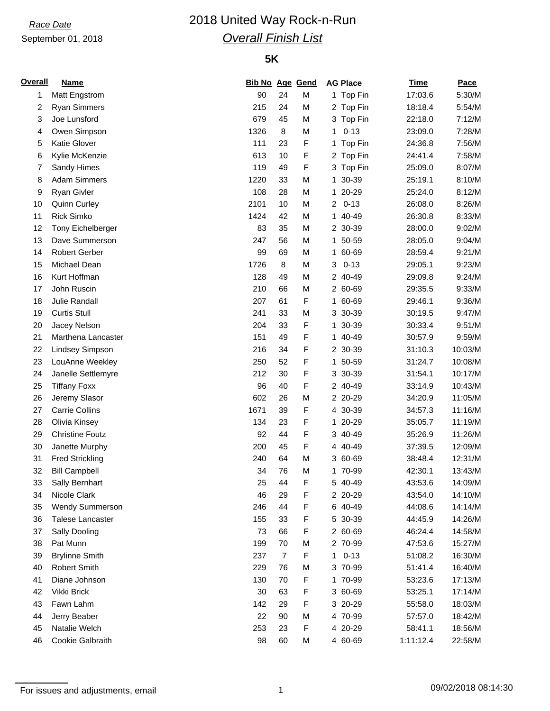### September 01, 2018

# *Race Date* 2018 United Way Rock-n-Run *Overall Finish List*

### **5K**

| <b>Overall</b> | <b>Name</b>            | <b>Bib No Age Gend</b> |                |   | <b>AG Place</b>            | <b>Time</b> | Pace    |
|----------------|------------------------|------------------------|----------------|---|----------------------------|-------------|---------|
| 1              | <b>Matt Engstrom</b>   | 90                     | 24             | M | 1 Top Fin                  | 17:03.6     | 5:30/M  |
| 2              | <b>Ryan Simmers</b>    | 215                    | 24             | M | 2 Top Fin                  | 18:18.4     | 5:54/M  |
| 3              | Joe Lunsford           | 679                    | 45             | M | 3 Top Fin                  | 22:18.0     | 7:12/M  |
| 4              | Owen Simpson           | 1326                   | 8              | M | $0 - 13$<br>1              | 23:09.0     | 7:28/M  |
| 5              | <b>Katie Glover</b>    | 111                    | 23             | F | 1 Top Fin                  | 24:36.8     | 7:56/M  |
| 6              | Kylie McKenzie         | 613                    | 10             | F | 2 Top Fin                  | 24:41.4     | 7:58/M  |
| 7              | Sandy Himes            | 119                    | 49             | F | 3 Top Fin                  | 25:09.0     | 8:07/M  |
| 8              | <b>Adam Simmers</b>    | 1220                   | 33             | M | 30-39<br>1                 | 25:19.1     | 8:10/M  |
| 9              | Ryan Givler            | 108                    | 28             | M | 1 20-29                    | 25:24.0     | 8:12/M  |
| 10             | <b>Quinn Curley</b>    | 2101                   | 10             | M | $0 - 13$<br>$\overline{2}$ | 26:08.0     | 8:26/M  |
| 11             | <b>Rick Simko</b>      | 1424                   | 42             | M | 1 40-49                    | 26:30.8     | 8:33/M  |
| 12             | Tony Eichelberger      | 83                     | 35             | M | 2 30-39                    | 28:00.0     | 9:02/M  |
| 13             | Dave Summerson         | 247                    | 56             | M | 1 50-59                    | 28:05.0     | 9:04/M  |
| 14             | <b>Robert Gerber</b>   | 99                     | 69             | M | 1 60-69                    | 28:59.4     | 9:21/M  |
| 15             | Michael Dean           | 1726                   | 8              | M | $0 - 13$<br>3              | 29:05.1     | 9:23/M  |
| 16             | Kurt Hoffman           | 128                    | 49             | M | 2 40-49                    | 29:09.8     | 9:24/M  |
| 17             | John Ruscin            | 210                    | 66             | M | 2 60-69                    | 29:35.5     | 9:33/M  |
| 18             | Julie Randall          | 207                    | 61             | F | 1 60-69                    | 29:46.1     | 9:36/M  |
| 19             | <b>Curtis Stull</b>    | 241                    | 33             | M | 3 30-39                    | 30:19.5     | 9:47/M  |
| 20             | Jacey Nelson           | 204                    | 33             | F | 1 30-39                    | 30:33.4     | 9:51/M  |
| 21             | Marthena Lancaster     | 151                    | 49             | F | 1 40-49                    | 30:57.9     | 9:59/M  |
| 22             | Lindsey Simpson        | 216                    | 34             | F | 2 30-39                    | 31:10.3     | 10:03/M |
| 23             | LouAnne Weekley        | 250                    | 52             | F | 1 50-59                    | 31:24.7     | 10:08/M |
| 24             | Janelle Settlemyre     | 212                    | 30             | F | 30-39<br>3                 | 31:54.1     | 10:17/M |
| 25             | <b>Tiffany Foxx</b>    | 96                     | 40             | F | 2 40-49                    | 33:14.9     | 10:43/M |
| 26             | Jeremy Slasor          | 602                    | 26             | M | 2 20-29                    | 34:20.9     | 11:05/M |
| 27             | <b>Carrie Collins</b>  | 1671                   | 39             | F | 4 30-39                    | 34:57.3     | 11:16/M |
| 28             | Olivia Kinsey          | 134                    | 23             | F | 1 20-29                    | 35:05.7     | 11:19/M |
| 29             | <b>Christine Foutz</b> | 92                     | 44             | F | 3 40-49                    | 35:26.9     | 11:26/M |
| 30             | Janette Murphy         | 200                    | 45             | F | 4 40-49                    | 37:39.5     | 12:09/M |
| 31             | <b>Fred Strickling</b> | 240                    | 64             | M | 3 60-69                    | 38:48.4     | 12:31/M |
| 32             | <b>Bill Campbell</b>   | 34                     | 76             | M | 1 70-99                    | 42:30.1     | 13:43/M |
| 33             | Sally Bernhart         | 25                     | 44             | F | 5 40-49                    | 43:53.6     | 14:09/M |
| 34             | Nicole Clark           | 46                     | 29             | F | 2 20-29                    | 43:54.0     | 14:10/M |
| 35             | Wendy Summerson        | 246                    | 44             | F | 6 40-49                    | 44:08.6     | 14:14/M |
| 36             | Talese Lancaster       | 155                    | 33             | F | 5 30-39                    | 44:45.9     | 14:26/M |
| 37             | Sally Dooling          | 73                     | 66             | F | 2 60-69                    | 46:24.4     | 14:58/M |
| 38             | Pat Munn               | 199                    | 70             | M | 2 70-99                    | 47:53.6     | 15:27/M |
| 39             | <b>Brylinne Smith</b>  | 237                    | $\overline{7}$ | F | $0 - 13$<br>1.             | 51:08.2     | 16:30/M |
| 40             | <b>Robert Smith</b>    | 229                    | 76             | M | 3 70-99                    | 51:41.4     | 16:40/M |
| 41             | Diane Johnson          | 130                    | 70             | F | 1 70-99                    | 53:23.6     | 17:13/M |
| 42             | Vikki Brick            | 30                     | 63             | F | 3 60-69                    | 53:25.1     | 17:14/M |
| 43             | Fawn Lahm              | 142                    | 29             | F | 3 20-29                    | 55:58.0     | 18:03/M |
| 44             | Jerry Beaber           | 22                     | 90             | M | 4 70-99                    | 57:57.0     | 18:42/M |
| 45             | Natalie Welch          | 253                    | 23             | F | 4 20-29                    | 58:41.1     | 18:56/M |
| 46             | Cookie Galbraith       | 98                     | 60             | M | 4 60-69                    | 1:11:12.4   | 22:58/M |

For issues and adjustments, email is a matrix of the contract of the contract of the contract of the contract of the contract of the contract of the contract of the contract of the contract of the contract of the contract